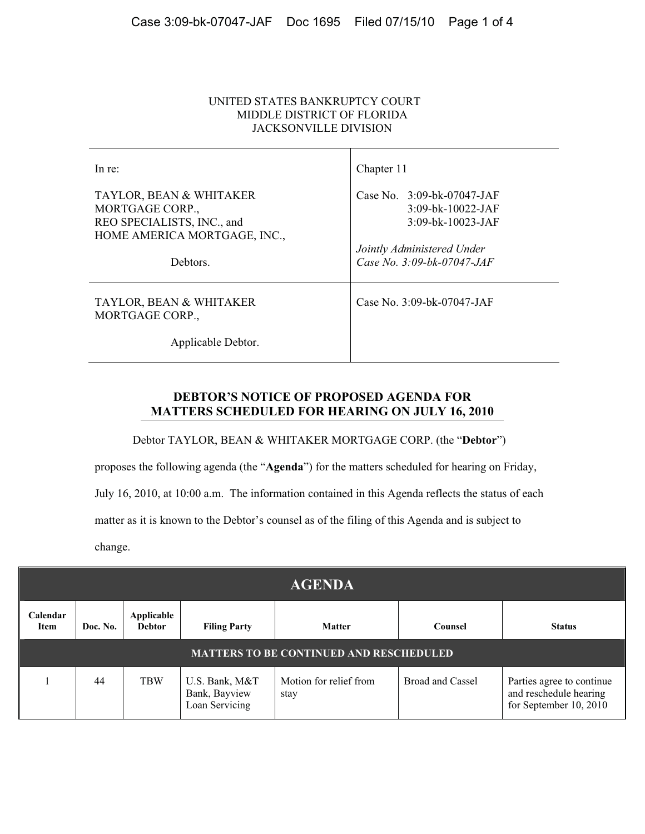## UNITED STATES BANKRUPTCY COURT MIDDLE DISTRICT OF FLORIDA JACKSONVILLE DIVISION

| In re:                                                                                                   | Chapter 11                                                               |
|----------------------------------------------------------------------------------------------------------|--------------------------------------------------------------------------|
| TAYLOR, BEAN & WHITAKER<br>MORTGAGE CORP.,<br>REO SPECIALISTS, INC., and<br>HOME AMERICA MORTGAGE, INC., | Case No. $3:09-bk-07047-JAF$<br>$3:09-bk-10022-JAF$<br>3:09-bk-10023-JAF |
| Debtors.                                                                                                 | Jointly Administered Under<br>Case No. 3:09-bk-07047-JAF                 |
| TAYLOR, BEAN & WHITAKER<br>MORTGAGE CORP.,                                                               | Case No. $3:09$ -bk-07047-JAF                                            |
| Applicable Debtor.                                                                                       |                                                                          |

## **DEBTOR'S NOTICE OF PROPOSED AGENDA FOR MATTERS SCHEDULED FOR HEARING ON JULY 16, 2010**

Debtor TAYLOR, BEAN & WHITAKER MORTGAGE CORP. (the "**Debtor**")

proposes the following agenda (the "**Agenda**") for the matters scheduled for hearing on Friday,

July 16, 2010, at 10:00 a.m. The information contained in this Agenda reflects the status of each

matter as it is known to the Debtor's counsel as of the filing of this Agenda and is subject to

change.

| <b>AGENDA</b>                                  |          |                             |                                                   |                                |                  |                                                                               |
|------------------------------------------------|----------|-----------------------------|---------------------------------------------------|--------------------------------|------------------|-------------------------------------------------------------------------------|
| Calendar<br>Item                               | Doc. No. | Applicable<br><b>Debtor</b> | <b>Filing Party</b>                               | <b>Matter</b>                  | Counsel          | <b>Status</b>                                                                 |
| <b>MATTERS TO BE CONTINUED AND RESCHEDULED</b> |          |                             |                                                   |                                |                  |                                                                               |
|                                                | 44       | <b>TBW</b>                  | U.S. Bank, M&T<br>Bank, Bayview<br>Loan Servicing | Motion for relief from<br>stay | Broad and Cassel | Parties agree to continue<br>and reschedule hearing<br>for September 10, 2010 |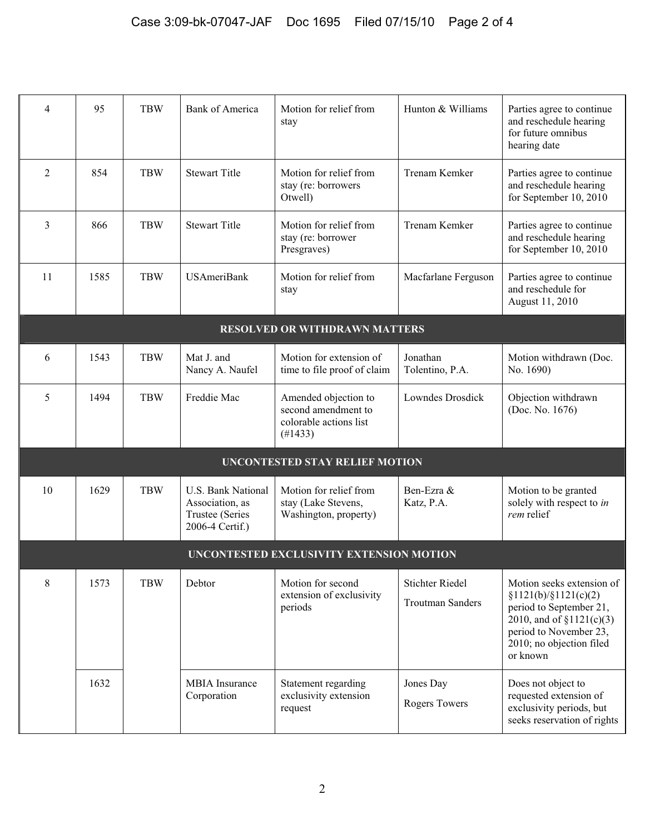| 4                                        | 95                                    | <b>TBW</b> | <b>Bank of America</b>                                                      | Motion for relief from<br>stay                                                   | Hunton & Williams                                 | Parties agree to continue<br>and reschedule hearing<br>for future omnibus<br>hearing date                                                                                      |  |  |
|------------------------------------------|---------------------------------------|------------|-----------------------------------------------------------------------------|----------------------------------------------------------------------------------|---------------------------------------------------|--------------------------------------------------------------------------------------------------------------------------------------------------------------------------------|--|--|
| 2                                        | 854                                   | <b>TBW</b> | <b>Stewart Title</b>                                                        | Motion for relief from<br>stay (re: borrowers<br>Otwell)                         | Trenam Kemker                                     | Parties agree to continue<br>and reschedule hearing<br>for September 10, 2010                                                                                                  |  |  |
| 3                                        | 866                                   | <b>TBW</b> | <b>Stewart Title</b>                                                        | Motion for relief from<br>stay (re: borrower<br>Presgraves)                      | Trenam Kemker                                     | Parties agree to continue<br>and reschedule hearing<br>for September 10, 2010                                                                                                  |  |  |
| 11                                       | 1585                                  | <b>TBW</b> | <b>USAmeriBank</b>                                                          | Motion for relief from<br>stay                                                   | Macfarlane Ferguson                               | Parties agree to continue<br>and reschedule for<br>August 11, 2010                                                                                                             |  |  |
|                                          |                                       |            |                                                                             | <b>RESOLVED OR WITHDRAWN MATTERS</b>                                             |                                                   |                                                                                                                                                                                |  |  |
| 6                                        | 1543                                  | <b>TBW</b> | Mat J. and<br>Nancy A. Naufel                                               | Motion for extension of<br>time to file proof of claim                           | Jonathan<br>Tolentino, P.A.                       | Motion withdrawn (Doc.<br>No. 1690)                                                                                                                                            |  |  |
| 5                                        | 1494                                  | <b>TBW</b> | Freddie Mac                                                                 | Amended objection to<br>second amendment to<br>colorable actions list<br>(#1433) | Lowndes Drosdick                                  | Objection withdrawn<br>(Doc. No. 1676)                                                                                                                                         |  |  |
|                                          | <b>UNCONTESTED STAY RELIEF MOTION</b> |            |                                                                             |                                                                                  |                                                   |                                                                                                                                                                                |  |  |
| 10                                       | 1629                                  | <b>TBW</b> | U.S. Bank National<br>Association, as<br>Trustee (Series<br>2006-4 Certif.) | Motion for relief from<br>stay (Lake Stevens,<br>Washington, property)           | Ben-Ezra &<br>Katz, P.A.                          | Motion to be granted<br>solely with respect to in<br>rem relief                                                                                                                |  |  |
| UNCONTESTED EXCLUSIVITY EXTENSION MOTION |                                       |            |                                                                             |                                                                                  |                                                   |                                                                                                                                                                                |  |  |
| 8                                        | 1573                                  | <b>TBW</b> | Debtor                                                                      | Motion for second<br>extension of exclusivity<br>periods                         | <b>Stichter Riedel</b><br><b>Troutman Sanders</b> | Motion seeks extension of<br>\$1121(b)/\$1121(c)(2)<br>period to September 21,<br>2010, and of $$1121(c)(3)$<br>period to November 23,<br>2010; no objection filed<br>or known |  |  |
|                                          | 1632                                  |            | <b>MBIA</b> Insurance<br>Corporation                                        | Statement regarding<br>exclusivity extension<br>request                          | Jones Day<br><b>Rogers Towers</b>                 | Does not object to<br>requested extension of<br>exclusivity periods, but<br>seeks reservation of rights                                                                        |  |  |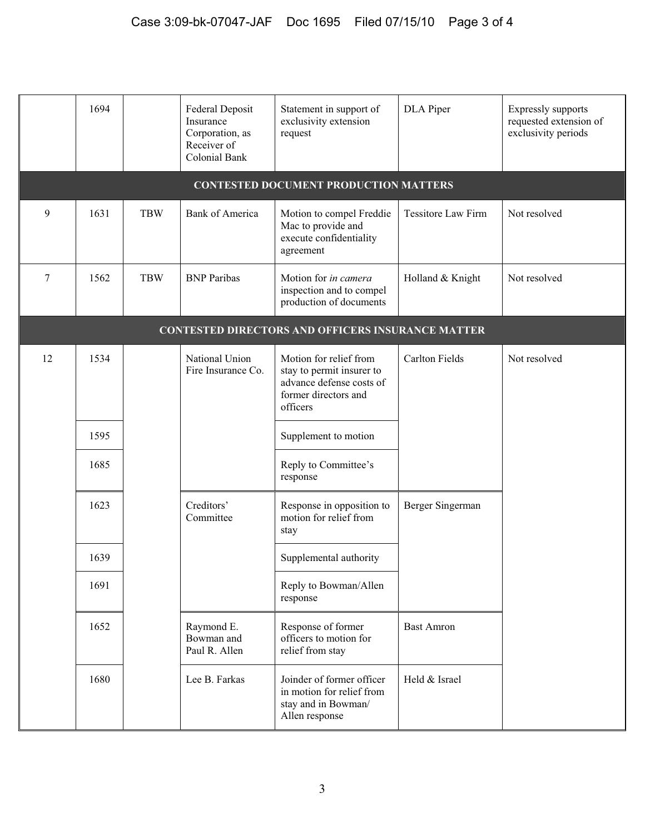|                                                          | 1694                                         |            | Federal Deposit<br>Insurance<br>Corporation, as<br>Receiver of<br><b>Colonial Bank</b> | Statement in support of<br>exclusivity extension<br>request                                                         | DLA Piper                 | Expressly supports<br>requested extension of<br>exclusivity periods |  |  |
|----------------------------------------------------------|----------------------------------------------|------------|----------------------------------------------------------------------------------------|---------------------------------------------------------------------------------------------------------------------|---------------------------|---------------------------------------------------------------------|--|--|
|                                                          | <b>CONTESTED DOCUMENT PRODUCTION MATTERS</b> |            |                                                                                        |                                                                                                                     |                           |                                                                     |  |  |
| 9                                                        | 1631                                         | <b>TBW</b> | <b>Bank of America</b>                                                                 | Motion to compel Freddie<br>Mac to provide and<br>execute confidentiality<br>agreement                              | <b>Tessitore Law Firm</b> | Not resolved                                                        |  |  |
| 7                                                        | 1562                                         | <b>TBW</b> | <b>BNP</b> Paribas                                                                     | Motion for in camera<br>inspection and to compel<br>production of documents                                         | Holland & Knight          | Not resolved                                                        |  |  |
| <b>CONTESTED DIRECTORS AND OFFICERS INSURANCE MATTER</b> |                                              |            |                                                                                        |                                                                                                                     |                           |                                                                     |  |  |
| 12                                                       | 1534                                         |            | National Union<br>Fire Insurance Co.                                                   | Motion for relief from<br>stay to permit insurer to<br>advance defense costs of<br>former directors and<br>officers | <b>Carlton Fields</b>     | Not resolved                                                        |  |  |
|                                                          | 1595                                         |            |                                                                                        | Supplement to motion                                                                                                |                           |                                                                     |  |  |
|                                                          | 1685                                         |            |                                                                                        | Reply to Committee's<br>response                                                                                    |                           |                                                                     |  |  |
|                                                          | 1623                                         |            | Creditors'<br>Committee                                                                | Response in opposition to<br>motion for relief from<br>stay                                                         | Berger Singerman          |                                                                     |  |  |
|                                                          | 1639                                         |            |                                                                                        | Supplemental authority                                                                                              |                           |                                                                     |  |  |
|                                                          | 1691                                         |            |                                                                                        | Reply to Bowman/Allen<br>response                                                                                   |                           |                                                                     |  |  |
|                                                          | 1652                                         |            | Raymond E.<br>Bowman and<br>Paul R. Allen                                              | Response of former<br>officers to motion for<br>relief from stay                                                    | <b>Bast Amron</b>         |                                                                     |  |  |
|                                                          | 1680                                         |            | Lee B. Farkas                                                                          | Joinder of former officer<br>in motion for relief from<br>stay and in Bowman/<br>Allen response                     | Held & Israel             |                                                                     |  |  |